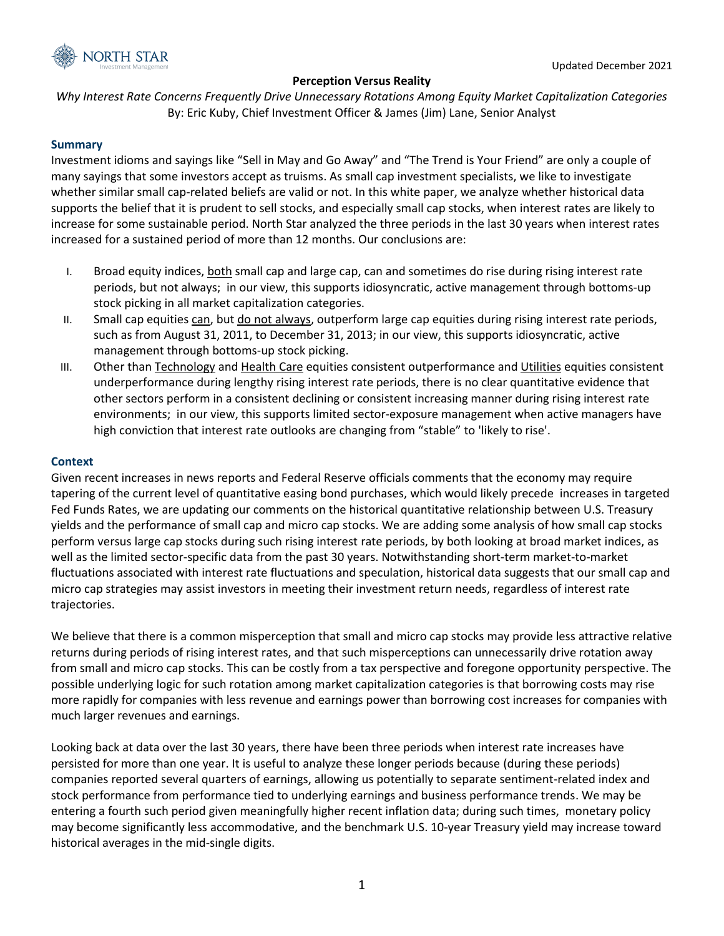

# **Perception Versus Reality**

*Why Interest Rate Concerns Frequently Drive Unnecessary Rotations Among Equity Market Capitalization Categories* By: Eric Kuby, Chief Investment Officer & James (Jim) Lane, Senior Analyst

## **Summary**

Investment idioms and sayings like "Sell in May and Go Away" and "The Trend is Your Friend" are only a couple of many sayings that some investors accept as truisms. As small cap investment specialists, we like to investigate whether similar small cap-related beliefs are valid or not. In this white paper, we analyze whether historical data supports the belief that it is prudent to sell stocks, and especially small cap stocks, when interest rates are likely to increase for some sustainable period. North Star analyzed the three periods in the last 30 years when interest rates increased for a sustained period of more than 12 months. Our conclusions are:

- I. Broad equity indices, both small cap and large cap, can and sometimes do rise during rising interest rate periods, but not always; in our view, this supports idiosyncratic, active management through bottoms-up stock picking in all market capitalization categories.
- II. Small cap equities can, but do not always, outperform large cap equities during rising interest rate periods, such as from August 31, 2011, to December 31, 2013; in our view, this supports idiosyncratic, active management through bottoms-up stock picking.
- III. Other than Technology and Health Care equities consistent outperformance and Utilities equities consistent underperformance during lengthy rising interest rate periods, there is no clear quantitative evidence that other sectors perform in a consistent declining or consistent increasing manner during rising interest rate environments; in our view, this supports limited sector-exposure management when active managers have high conviction that interest rate outlooks are changing from "stable" to 'likely to rise'.

## **Context**

Given recent increases in news reports and Federal Reserve officials comments that the economy may require tapering of the current level of quantitative easing bond purchases, which would likely precede increases in targeted Fed Funds Rates, we are updating our comments on the historical quantitative relationship between U.S. Treasury yields and the performance of small cap and micro cap stocks. We are adding some analysis of how small cap stocks perform versus large cap stocks during such rising interest rate periods, by both looking at broad market indices, as well as the limited sector-specific data from the past 30 years. Notwithstanding short-term market-to-market fluctuations associated with interest rate fluctuations and speculation, historical data suggests that our small cap and micro cap strategies may assist investors in meeting their investment return needs, regardless of interest rate trajectories.

We believe that there is a common misperception that small and micro cap stocks may provide less attractive relative returns during periods of rising interest rates, and that such misperceptions can unnecessarily drive rotation away from small and micro cap stocks. This can be costly from a tax perspective and foregone opportunity perspective. The possible underlying logic for such rotation among market capitalization categories is that borrowing costs may rise more rapidly for companies with less revenue and earnings power than borrowing cost increases for companies with much larger revenues and earnings.

Looking back at data over the last 30 years, there have been three periods when interest rate increases have persisted for more than one year. It is useful to analyze these longer periods because (during these periods) companies reported several quarters of earnings, allowing us potentially to separate sentiment-related index and stock performance from performance tied to underlying earnings and business performance trends. We may be entering a fourth such period given meaningfully higher recent inflation data; during such times, monetary policy may become significantly less accommodative, and the benchmark U.S. 10-year Treasury yield may increase toward historical averages in the mid-single digits.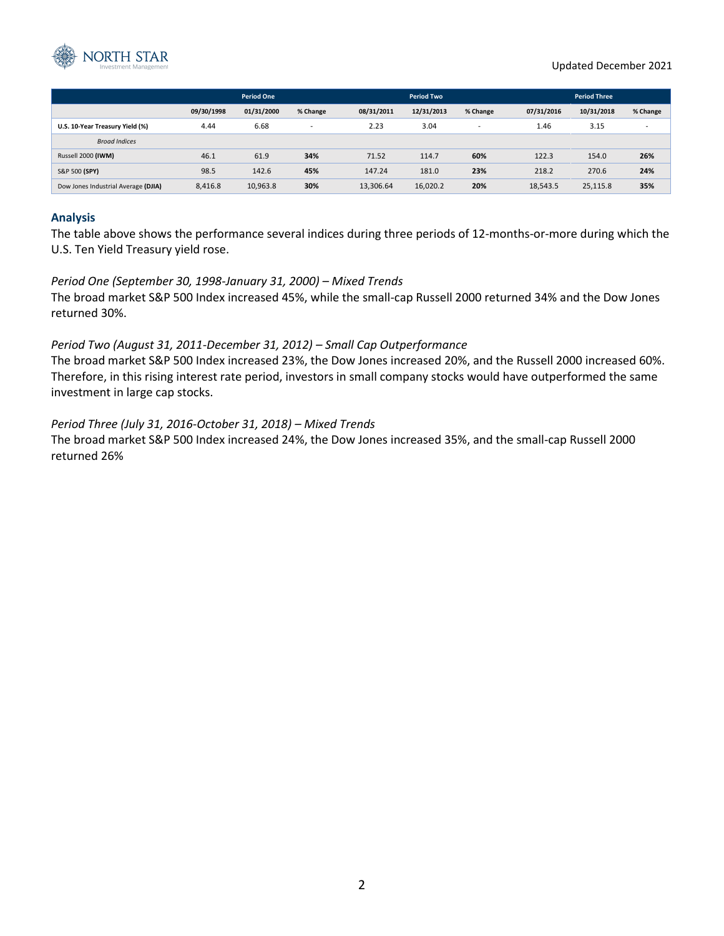

|                                     | <b>Period One</b> |            |                | <b>Period Two</b> |            |                          | <b>Period Three</b> |            |                          |
|-------------------------------------|-------------------|------------|----------------|-------------------|------------|--------------------------|---------------------|------------|--------------------------|
|                                     | 09/30/1998        | 01/31/2000 | % Change       | 08/31/2011        | 12/31/2013 | % Change                 | 07/31/2016          | 10/31/2018 | % Change                 |
| U.S. 10-Year Treasury Yield (%)     | 4.44              | 6.68       | $\overline{a}$ | 2.23              | 3.04       | $\overline{\phantom{a}}$ | 1.46                | 3.15       | $\overline{\phantom{a}}$ |
| <b>Broad Indices</b>                |                   |            |                |                   |            |                          |                     |            |                          |
| Russell 2000 (IWM)                  | 46.1              | 61.9       | 34%            | 71.52             | 114.7      | 60%                      | 122.3               | 154.0      | 26%                      |
| S&P 500 (SPY)                       | 98.5              | 142.6      | 45%            | 147.24            | 181.0      | 23%                      | 218.2               | 270.6      | 24%                      |
| Dow Jones Industrial Average (DJIA) | 8,416.8           | 10,963.8   | 30%            | 13,306.64         | 16,020.2   | 20%                      | 18,543.5            | 25,115.8   | 35%                      |

### **Analysis**

The table above shows the performance several indices during three periods of 12-months-or-more during which the U.S. Ten Yield Treasury yield rose.

### *Period One (September 30, 1998-January 31, 2000) – Mixed Trends*

The broad market S&P 500 Index increased 45%, while the small-cap Russell 2000 returned 34% and the Dow Jones returned 30%.

### *Period Two (August 31, 2011-December 31, 2012) – Small Cap Outperformance*

The broad market S&P 500 Index increased 23%, the Dow Jones increased 20%, and the Russell 2000 increased 60%. Therefore, in this rising interest rate period, investors in small company stocks would have outperformed the same investment in large cap stocks.

### *Period Three (July 31, 2016-October 31, 2018) – Mixed Trends*

The broad market S&P 500 Index increased 24%, the Dow Jones increased 35%, and the small-cap Russell 2000 returned 26%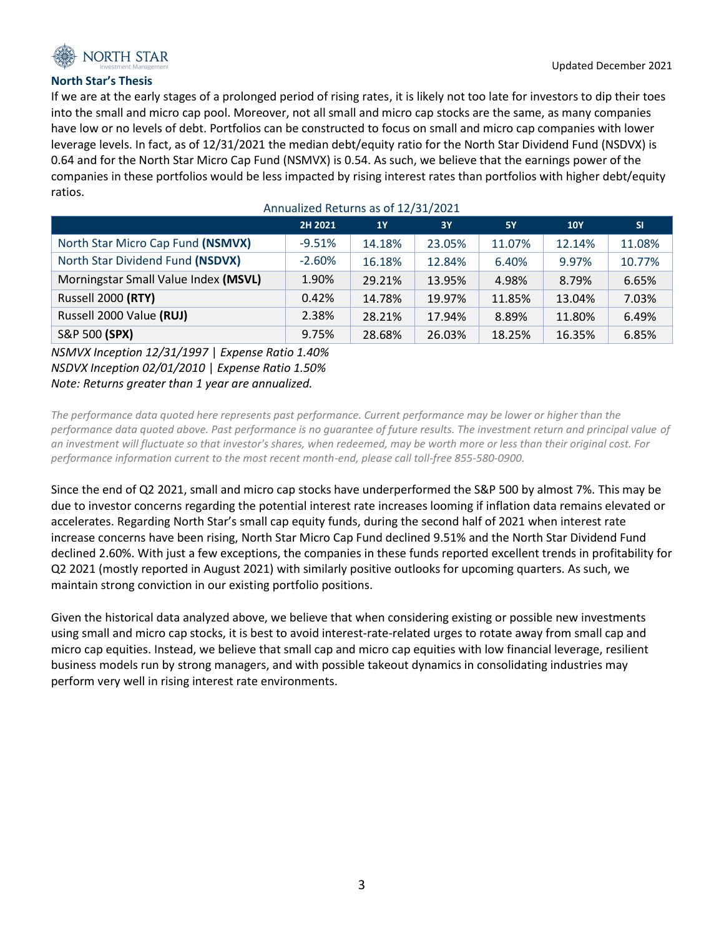

## **North Star's Thesis**

If we are at the early stages of a prolonged period of rising rates, it is likely not too late for investors to dip their toes into the small and micro cap pool. Moreover, not all small and micro cap stocks are the same, as many companies have low or no levels of debt. Portfolios can be constructed to focus on small and micro cap companies with lower leverage levels. In fact, as of 12/31/2021 the median debt/equity ratio for the North Star Dividend Fund (NSDVX) is 0.64 and for the North Star Micro Cap Fund (NSMVX) is 0.54. As such, we believe that the earnings power of the companies in these portfolios would be less impacted by rising interest rates than portfolios with higher debt/equity ratios.

Annualized Returns as of 12/31/2021

| $1$ uniquized netains as of $22/32/2022$ |          |           |           |           |            |           |  |  |  |  |  |  |
|------------------------------------------|----------|-----------|-----------|-----------|------------|-----------|--|--|--|--|--|--|
|                                          | 2H 2021  | <b>1Y</b> | <b>3Y</b> | <b>5Y</b> | <b>10Y</b> | <b>SI</b> |  |  |  |  |  |  |
| North Star Micro Cap Fund (NSMVX)        | $-9.51%$ | 14.18%    | 23.05%    | 11.07%    | 12.14%     | 11.08%    |  |  |  |  |  |  |
| North Star Dividend Fund (NSDVX)         | $-2.60%$ | 16.18%    | 12.84%    | 6.40%     | 9.97%      | 10.77%    |  |  |  |  |  |  |
| Morningstar Small Value Index (MSVL)     | 1.90%    | 29.21%    | 13.95%    | 4.98%     | 8.79%      | 6.65%     |  |  |  |  |  |  |
| Russell 2000 (RTY)                       | 0.42%    | 14.78%    | 19.97%    | 11.85%    | 13.04%     | 7.03%     |  |  |  |  |  |  |
| Russell 2000 Value (RUJ)                 | 2.38%    | 28.21%    | 17.94%    | 8.89%     | 11.80%     | 6.49%     |  |  |  |  |  |  |
| S&P 500 (SPX)                            | 9.75%    | 28.68%    | 26.03%    | 18.25%    | 16.35%     | 6.85%     |  |  |  |  |  |  |

# *NSMVX Inception 12/31/1997* | *Expense Ratio 1.40% NSDVX Inception 02/01/2010* | *Expense Ratio 1.50% Note: Returns greater than 1 year are annualized.*

*The performance data quoted here represents past performance. Current performance may be lower or higher than the performance data quoted above. Past performance is no guarantee of future results. The investment return and principal value of an investment will fluctuate so that investor's shares, when redeemed, may be worth more or less than their original cost. For performance information current to the most recent month-end, please call toll-free 855-580-0900.*

Since the end of Q2 2021, small and micro cap stocks have underperformed the S&P 500 by almost 7%. This may be due to investor concerns regarding the potential interest rate increases looming if inflation data remains elevated or accelerates. Regarding North Star's small cap equity funds, during the second half of 2021 when interest rate increase concerns have been rising, North Star Micro Cap Fund declined 9.51% and the North Star Dividend Fund declined 2.60%. With just a few exceptions, the companies in these funds reported excellent trends in profitability for Q2 2021 (mostly reported in August 2021) with similarly positive outlooks for upcoming quarters. As such, we maintain strong conviction in our existing portfolio positions.

Given the historical data analyzed above, we believe that when considering existing or possible new investments using small and micro cap stocks, it is best to avoid interest-rate-related urges to rotate away from small cap and micro cap equities. Instead, we believe that small cap and micro cap equities with low financial leverage, resilient business models run by strong managers, and with possible takeout dynamics in consolidating industries may perform very well in rising interest rate environments.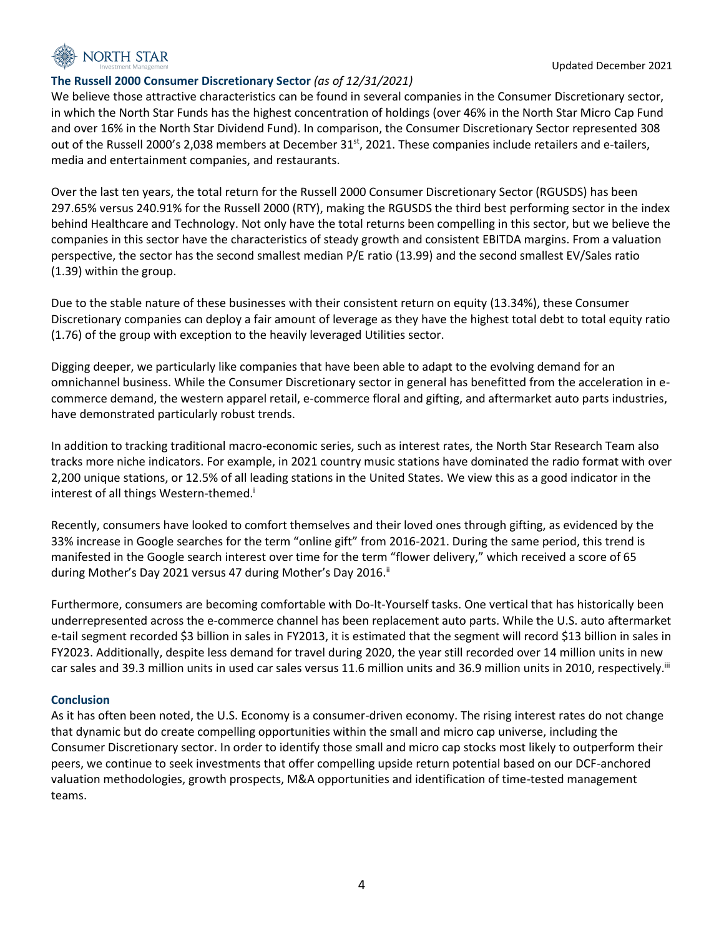

## **The Russell 2000 Consumer Discretionary Sector** *(as of 12/31/2021)*

We believe those attractive characteristics can be found in several companies in the Consumer Discretionary sector, in which the North Star Funds has the highest concentration of holdings (over 46% in the North Star Micro Cap Fund and over 16% in the North Star Dividend Fund). In comparison, the Consumer Discretionary Sector represented 308 out of the Russell 2000's 2,038 members at December  $31^{st}$ , 2021. These companies include retailers and e-tailers, media and entertainment companies, and restaurants.

Over the last ten years, the total return for the Russell 2000 Consumer Discretionary Sector (RGUSDS) has been 297.65% versus 240.91% for the Russell 2000 (RTY), making the RGUSDS the third best performing sector in the index behind Healthcare and Technology. Not only have the total returns been compelling in this sector, but we believe the companies in this sector have the characteristics of steady growth and consistent EBITDA margins. From a valuation perspective, the sector has the second smallest median P/E ratio (13.99) and the second smallest EV/Sales ratio (1.39) within the group.

Due to the stable nature of these businesses with their consistent return on equity (13.34%), these Consumer Discretionary companies can deploy a fair amount of leverage as they have the highest total debt to total equity ratio (1.76) of the group with exception to the heavily leveraged Utilities sector.

Digging deeper, we particularly like companies that have been able to adapt to the evolving demand for an omnichannel business. While the Consumer Discretionary sector in general has benefitted from the acceleration in ecommerce demand, the western apparel retail, e-commerce floral and gifting, and aftermarket auto parts industries, have demonstrated particularly robust trends.

In addition to tracking traditional macro-economic series, such as interest rates, the North Star Research Team also tracks more niche indicators. For example, in 2021 country music stations have dominated the radio format with over 2,200 unique stations, or 12.5% of all leading stations in the United States. We view this as a good indicator in the interest of all things Western-themed.<sup>i</sup>

Recently, consumers have looked to comfort themselves and their loved ones through gifting, as evidenced by the 33% increase in Google searches for the term "online gift" from 2016-2021. During the same period, this trend is manifested in the Google search interest over time for the term "flower delivery," which received a score of 65 during Mother's Day 2021 versus 47 during Mother's Day 2016.<sup>ii</sup>

Furthermore, consumers are becoming comfortable with Do-It-Yourself tasks. One vertical that has historically been underrepresented across the e-commerce channel has been replacement auto parts. While the U.S. auto aftermarket e-tail segment recorded \$3 billion in sales in FY2013, it is estimated that the segment will record \$13 billion in sales in FY2023. Additionally, despite less demand for travel during 2020, the year still recorded over 14 million units in new car sales and 39.3 million units in used car sales versus 11.6 million units and 36.9 million units in 2010, respectively.<sup>iii</sup>

## **Conclusion**

As it has often been noted, the U.S. Economy is a consumer-driven economy. The rising interest rates do not change that dynamic but do create compelling opportunities within the small and micro cap universe, including the Consumer Discretionary sector. In order to identify those small and micro cap stocks most likely to outperform their peers, we continue to seek investments that offer compelling upside return potential based on our DCF-anchored valuation methodologies, growth prospects, M&A opportunities and identification of time-tested management teams.